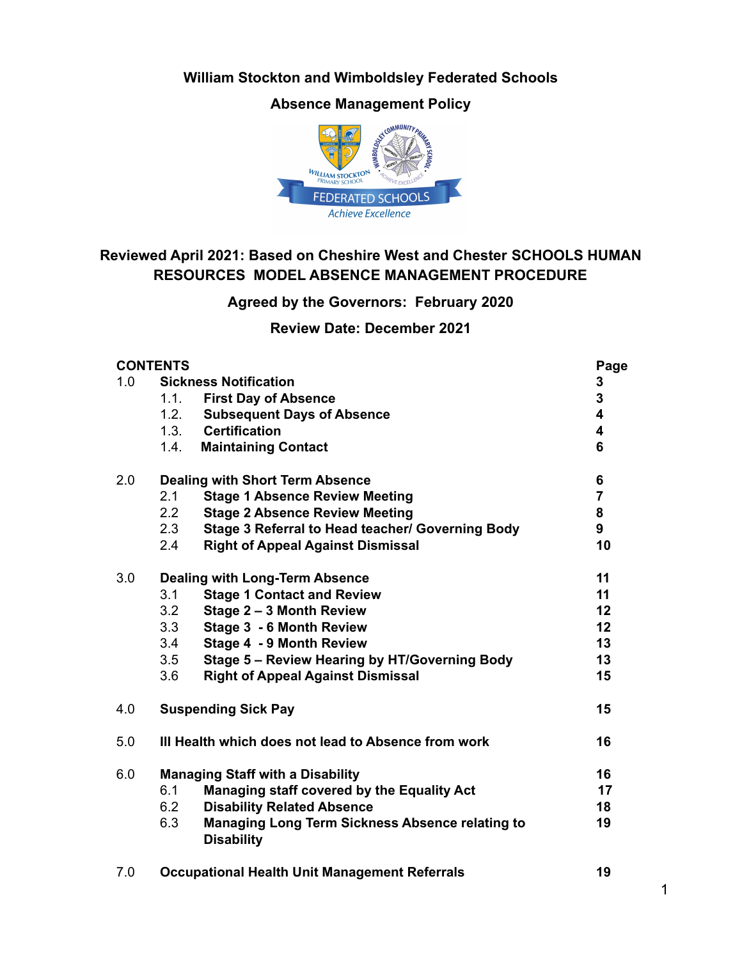**William Stockton and Wimboldsley Federated Schools**

**Absence Management Policy**



# **Reviewed April 2021: Based on Cheshire West and Chester SCHOOLS HUMAN RESOURCES MODEL ABSENCE MANAGEMENT PROCEDURE**

## **Agreed by the Governors: February 2020**

**Review Date: December 2021**

|     | <b>CONTENTS</b>                                                                    | Page                    |
|-----|------------------------------------------------------------------------------------|-------------------------|
| 1.0 | <b>Sickness Notification</b>                                                       | 3                       |
|     | <b>First Day of Absence</b><br>1.1.                                                | 3                       |
|     | 1.2.<br><b>Subsequent Days of Absence</b>                                          | 4                       |
|     | 1.3. Certification                                                                 | $\overline{\mathbf{4}}$ |
|     | 1.4.<br><b>Maintaining Contact</b>                                                 | 6                       |
| 2.0 | <b>Dealing with Short Term Absence</b>                                             | 6                       |
|     | 2.1<br><b>Stage 1 Absence Review Meeting</b>                                       | $\overline{7}$          |
|     | <b>Stage 2 Absence Review Meeting</b><br>2.2                                       | 8                       |
|     | Stage 3 Referral to Head teacher/ Governing Body<br>2.3                            | 9                       |
|     | 2.4<br><b>Right of Appeal Against Dismissal</b>                                    | 10                      |
| 3.0 | <b>Dealing with Long-Term Absence</b>                                              | 11                      |
|     | <b>Stage 1 Contact and Review</b><br>3.1                                           | 11                      |
|     | 3.2<br>Stage 2 - 3 Month Review                                                    | 12                      |
|     | Stage 3 - 6 Month Review<br>3.3                                                    | 12                      |
|     | Stage 4 - 9 Month Review<br>3.4                                                    | 13                      |
|     | Stage 5 - Review Hearing by HT/Governing Body<br>3.5                               | 13                      |
|     | <b>Right of Appeal Against Dismissal</b><br>3.6                                    | 15                      |
| 4.0 | <b>Suspending Sick Pay</b>                                                         | 15                      |
| 5.0 | III Health which does not lead to Absence from work                                | 16                      |
| 6.0 | <b>Managing Staff with a Disability</b>                                            | 16                      |
|     | 6.1<br>Managing staff covered by the Equality Act                                  | 17                      |
|     | 6.2<br><b>Disability Related Absence</b>                                           | 18                      |
|     | 6.3<br><b>Managing Long Term Sickness Absence relating to</b><br><b>Disability</b> | 19                      |

7.0 **Occupational Health Unit Management Referrals 19**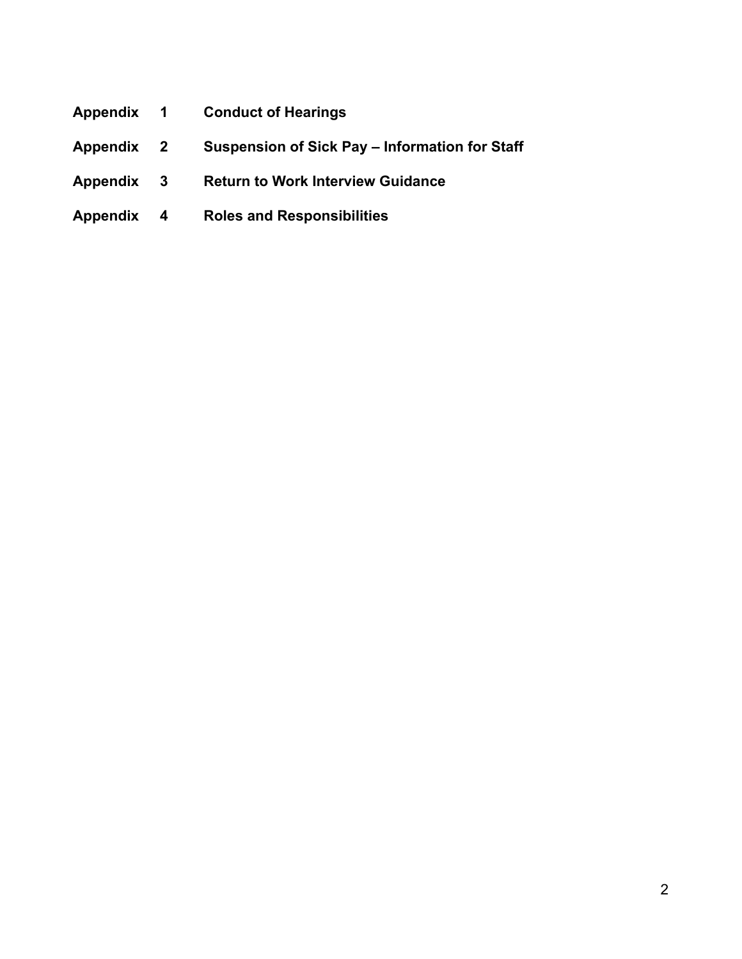- **Appendix 1 Conduct of Hearings**
- **Appendix 2 Suspension of Sick Pay Information for Staff**
- **Appendix 3 Return to Work Interview Guidance**
- **Appendix 4 Roles and Responsibilities**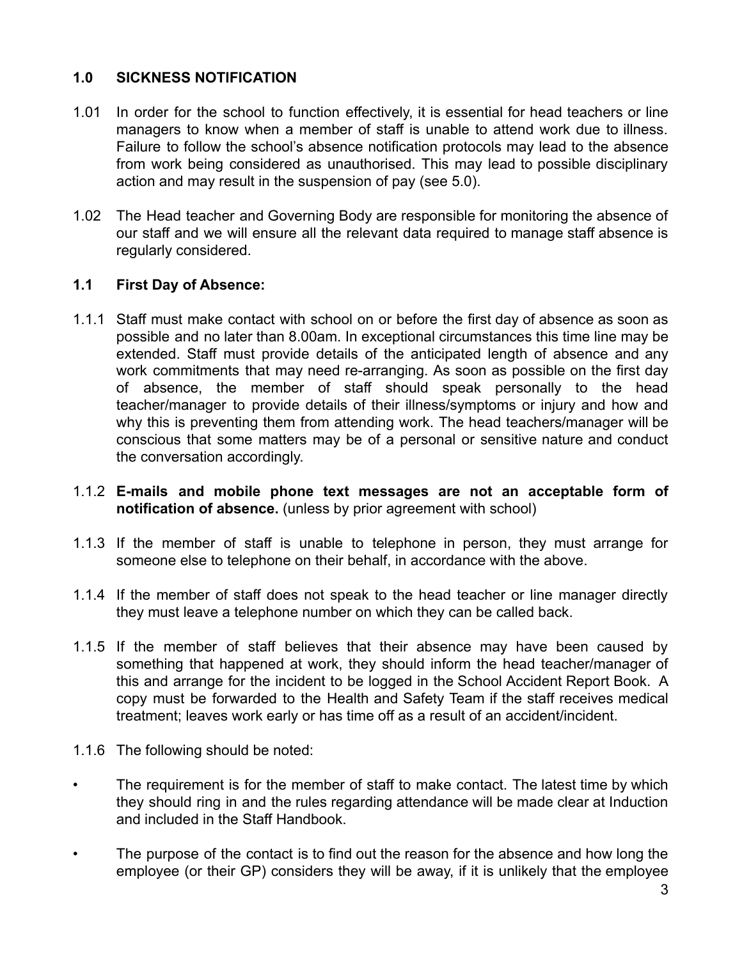## **1.0 SICKNESS NOTIFICATION**

- 1.01 In order for the school to function effectively, it is essential for head teachers or line managers to know when a member of staff is unable to attend work due to illness. Failure to follow the school's absence notification protocols may lead to the absence from work being considered as unauthorised. This may lead to possible disciplinary action and may result in the suspension of pay (see 5.0).
- 1.02 The Head teacher and Governing Body are responsible for monitoring the absence of our staff and we will ensure all the relevant data required to manage staff absence is regularly considered.

#### **1.1 First Day of Absence:**

- 1.1.1 Staff must make contact with school on or before the first day of absence as soon as possible and no later than 8.00am. In exceptional circumstances this time line may be extended. Staff must provide details of the anticipated length of absence and any work commitments that may need re-arranging. As soon as possible on the first day of absence, the member of staff should speak personally to the head teacher/manager to provide details of their illness/symptoms or injury and how and why this is preventing them from attending work. The head teachers/manager will be conscious that some matters may be of a personal or sensitive nature and conduct the conversation accordingly.
- 1.1.2 **E-mails and mobile phone text messages are not an acceptable form of notification of absence.** (unless by prior agreement with school)
- 1.1.3 If the member of staff is unable to telephone in person, they must arrange for someone else to telephone on their behalf, in accordance with the above.
- 1.1.4 If the member of staff does not speak to the head teacher or line manager directly they must leave a telephone number on which they can be called back.
- 1.1.5 If the member of staff believes that their absence may have been caused by something that happened at work, they should inform the head teacher/manager of this and arrange for the incident to be logged in the School Accident Report Book. A copy must be forwarded to the Health and Safety Team if the staff receives medical treatment; leaves work early or has time off as a result of an accident/incident.
- 1.1.6 The following should be noted:
- The requirement is for the member of staff to make contact. The latest time by which they should ring in and the rules regarding attendance will be made clear at Induction and included in the Staff Handbook.
- The purpose of the contact is to find out the reason for the absence and how long the employee (or their GP) considers they will be away, if it is unlikely that the employee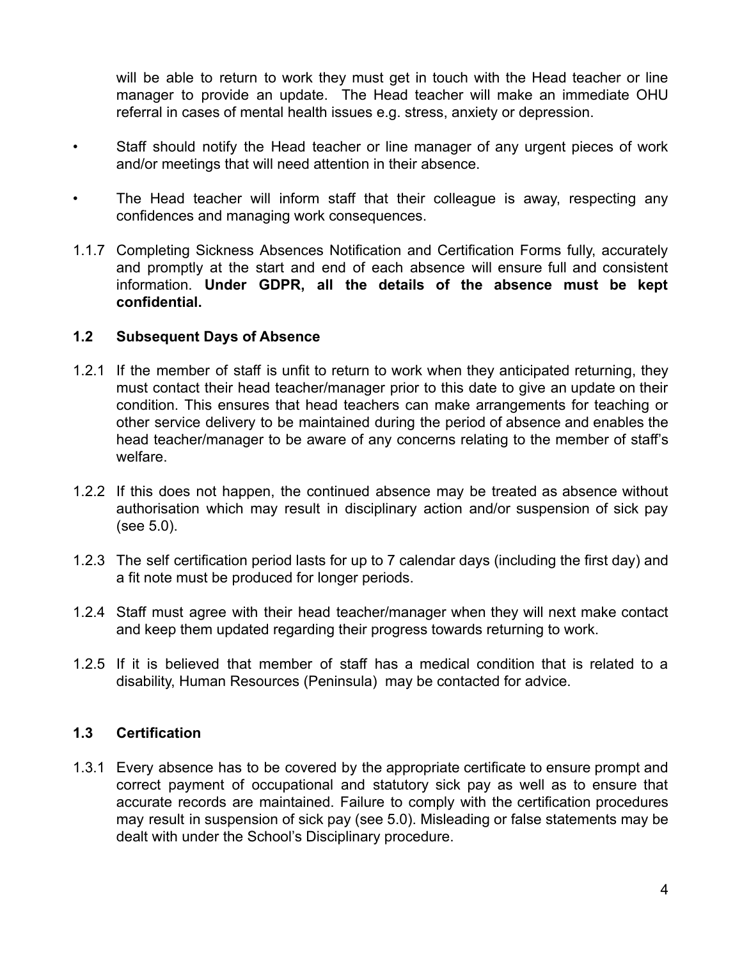will be able to return to work they must get in touch with the Head teacher or line manager to provide an update. The Head teacher will make an immediate OHU referral in cases of mental health issues e.g. stress, anxiety or depression.

- Staff should notify the Head teacher or line manager of any urgent pieces of work and/or meetings that will need attention in their absence.
- The Head teacher will inform staff that their colleague is away, respecting any confidences and managing work consequences.
- 1.1.7 Completing Sickness Absences Notification and Certification Forms fully, accurately and promptly at the start and end of each absence will ensure full and consistent information. **Under GDPR, all the details of the absence must be kept confidential.**

#### **1.2 Subsequent Days of Absence**

- 1.2.1 If the member of staff is unfit to return to work when they anticipated returning, they must contact their head teacher/manager prior to this date to give an update on their condition. This ensures that head teachers can make arrangements for teaching or other service delivery to be maintained during the period of absence and enables the head teacher/manager to be aware of any concerns relating to the member of staff's welfare.
- 1.2.2 If this does not happen, the continued absence may be treated as absence without authorisation which may result in disciplinary action and/or suspension of sick pay (see 5.0).
- 1.2.3 The self certification period lasts for up to 7 calendar days (including the first day) and a fit note must be produced for longer periods.
- 1.2.4 Staff must agree with their head teacher/manager when they will next make contact and keep them updated regarding their progress towards returning to work.
- 1.2.5 If it is believed that member of staff has a medical condition that is related to a disability, Human Resources (Peninsula) may be contacted for advice.

## **1.3 Certification**

1.3.1 Every absence has to be covered by the appropriate certificate to ensure prompt and correct payment of occupational and statutory sick pay as well as to ensure that accurate records are maintained. Failure to comply with the certification procedures may result in suspension of sick pay (see 5.0). Misleading or false statements may be dealt with under the School's Disciplinary procedure.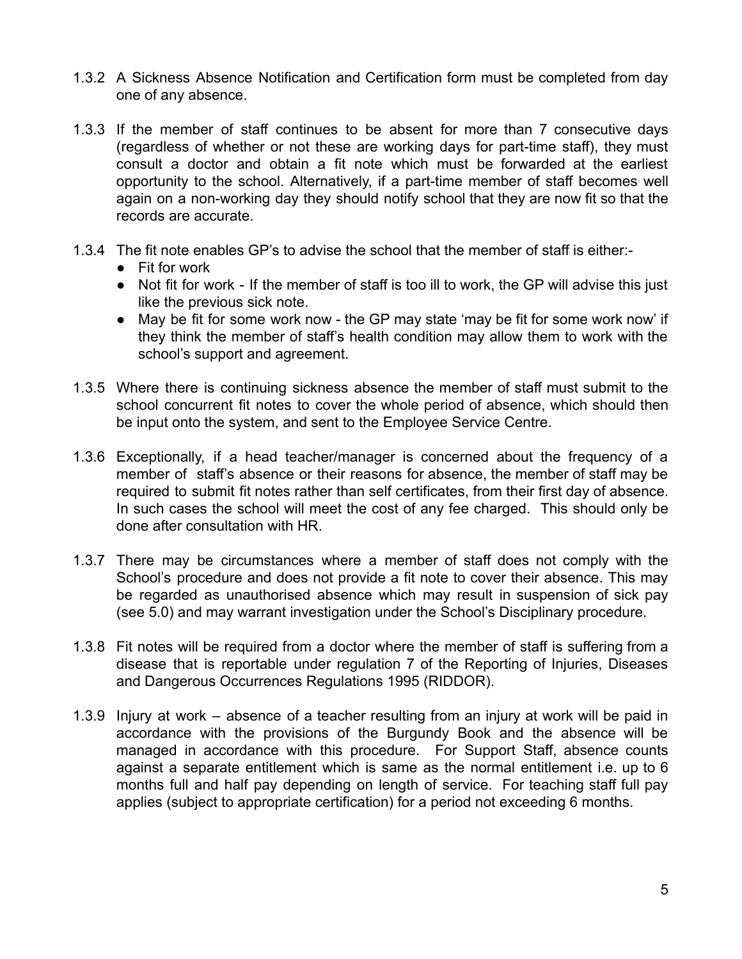- 1.3.2 A Sickness Absence Notification and Certification form must be completed from day one of any absence.
- 1.3.3 If the member of staff continues to be absent for more than 7 consecutive days (regardless of whether or not these are working days for part-time staff), they must consult a doctor and obtain a fit note which must be forwarded at the earliest opportunity to the school. Alternatively, if a part-time member of staff becomes well again on a non-working day they should notify school that they are now fit so that the records are accurate.
- 1.3.4 The fit note enables GP's to advise the school that the member of staff is either:-
	- Fit for work
	- Not fit for work If the member of staff is too ill to work, the GP will advise this just like the previous sick note.
	- May be fit for some work now the GP may state 'may be fit for some work now' if they think the member of staff's health condition may allow them to work with the school's support and agreement.
- 1.3.5 Where there is continuing sickness absence the member of staff must submit to the school concurrent fit notes to cover the whole period of absence, which should then be input onto the system, and sent to the Employee Service Centre.
- 1.3.6 Exceptionally, if a head teacher/manager is concerned about the frequency of a member of staff's absence or their reasons for absence, the member of staff may be required to submit fit notes rather than self certificates, from their first day of absence. In such cases the school will meet the cost of any fee charged. This should only be done after consultation with HR.
- 1.3.7 There may be circumstances where a member of staff does not comply with the School's procedure and does not provide a fit note to cover their absence. This may be regarded as unauthorised absence which may result in suspension of sick pay (see 5.0) and may warrant investigation under the School's Disciplinary procedure.
- 1.3.8 Fit notes will be required from a doctor where the member of staff is suffering from a disease that is reportable under regulation 7 of the Reporting of Injuries, Diseases and Dangerous Occurrences Regulations 1995 (RIDDOR).
- 1.3.9 Injury at work absence of a teacher resulting from an injury at work will be paid in accordance with the provisions of the Burgundy Book and the absence will be managed in accordance with this procedure. For Support Staff, absence counts against a separate entitlement which is same as the normal entitlement i.e. up to 6 months full and half pay depending on length of service. For teaching staff full pay applies (subject to appropriate certification) for a period not exceeding 6 months.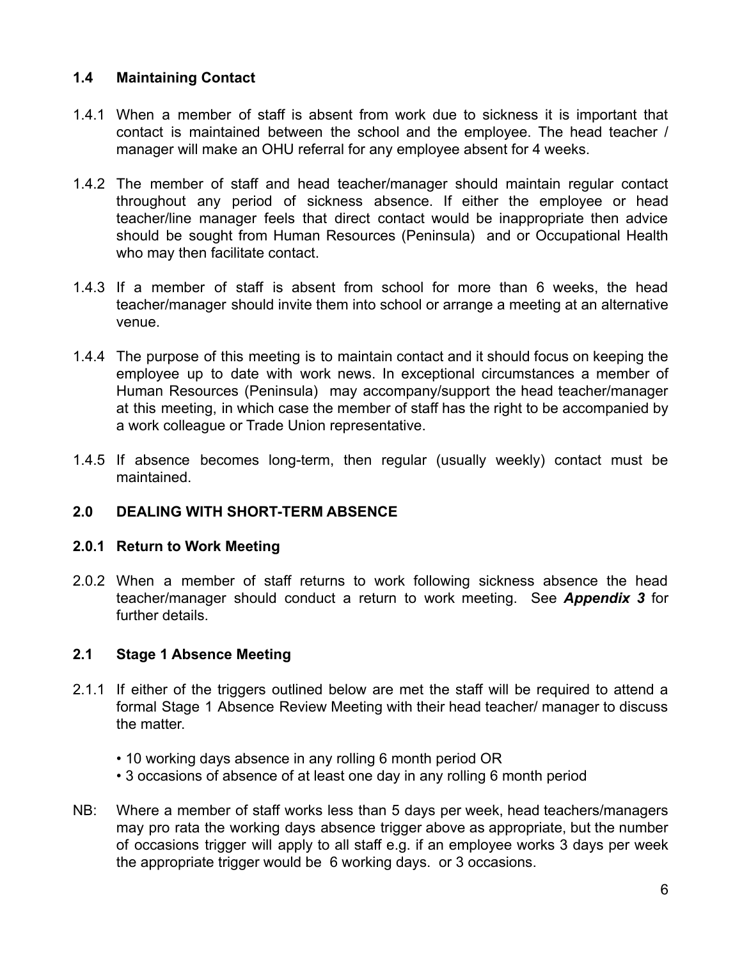## **1.4 Maintaining Contact**

- 1.4.1 When a member of staff is absent from work due to sickness it is important that contact is maintained between the school and the employee. The head teacher / manager will make an OHU referral for any employee absent for 4 weeks.
- 1.4.2 The member of staff and head teacher/manager should maintain regular contact throughout any period of sickness absence. If either the employee or head teacher/line manager feels that direct contact would be inappropriate then advice should be sought from Human Resources (Peninsula) and or Occupational Health who may then facilitate contact.
- 1.4.3 If a member of staff is absent from school for more than 6 weeks, the head teacher/manager should invite them into school or arrange a meeting at an alternative venue.
- 1.4.4 The purpose of this meeting is to maintain contact and it should focus on keeping the employee up to date with work news. In exceptional circumstances a member of Human Resources (Peninsula) may accompany/support the head teacher/manager at this meeting, in which case the member of staff has the right to be accompanied by a work colleague or Trade Union representative.
- 1.4.5 If absence becomes long-term, then regular (usually weekly) contact must be maintained.

## **2.0 DEALING WITH SHORT-TERM ABSENCE**

## **2.0.1 Return to Work Meeting**

2.0.2 When a member of staff returns to work following sickness absence the head teacher/manager should conduct a return to work meeting. See *Appendix 3* for further details.

## **2.1 Stage 1 Absence Meeting**

- 2.1.1 If either of the triggers outlined below are met the staff will be required to attend a formal Stage 1 Absence Review Meeting with their head teacher/ manager to discuss the matter.
	- 10 working days absence in any rolling 6 month period OR
	- 3 occasions of absence of at least one day in any rolling 6 month period
- NB: Where a member of staff works less than 5 days per week, head teachers/managers may pro rata the working days absence trigger above as appropriate, but the number of occasions trigger will apply to all staff e.g. if an employee works 3 days per week the appropriate trigger would be 6 working days. or 3 occasions.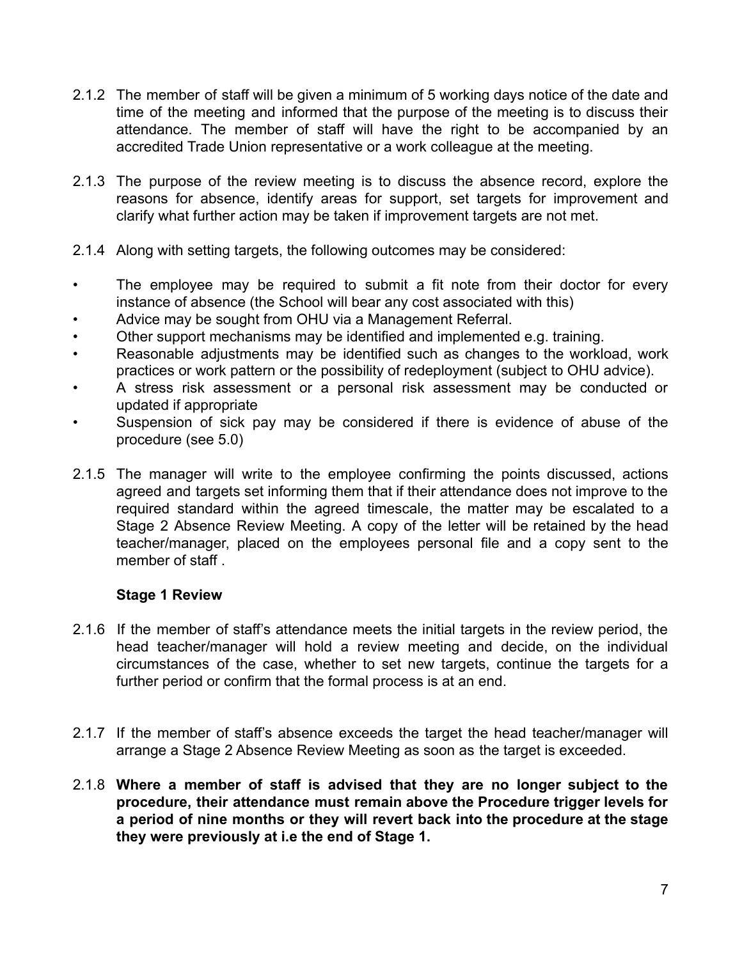- 2.1.2 The member of staff will be given a minimum of 5 working days notice of the date and time of the meeting and informed that the purpose of the meeting is to discuss their attendance. The member of staff will have the right to be accompanied by an accredited Trade Union representative or a work colleague at the meeting.
- 2.1.3 The purpose of the review meeting is to discuss the absence record, explore the reasons for absence, identify areas for support, set targets for improvement and clarify what further action may be taken if improvement targets are not met.
- 2.1.4 Along with setting targets, the following outcomes may be considered:
- The employee may be required to submit a fit note from their doctor for every instance of absence (the School will bear any cost associated with this)
- Advice may be sought from OHU via a Management Referral.
- Other support mechanisms may be identified and implemented e.g. training.
- Reasonable adjustments may be identified such as changes to the workload, work practices or work pattern or the possibility of redeployment (subject to OHU advice).
- A stress risk assessment or a personal risk assessment may be conducted or updated if appropriate
- Suspension of sick pay may be considered if there is evidence of abuse of the procedure (see 5.0)
- 2.1.5 The manager will write to the employee confirming the points discussed, actions agreed and targets set informing them that if their attendance does not improve to the required standard within the agreed timescale, the matter may be escalated to a Stage 2 Absence Review Meeting. A copy of the letter will be retained by the head teacher/manager, placed on the employees personal file and a copy sent to the member of staff.

#### **Stage 1 Review**

- 2.1.6 If the member of staff's attendance meets the initial targets in the review period, the head teacher/manager will hold a review meeting and decide, on the individual circumstances of the case, whether to set new targets, continue the targets for a further period or confirm that the formal process is at an end.
- 2.1.7 If the member of staff's absence exceeds the target the head teacher/manager will arrange a Stage 2 Absence Review Meeting as soon as the target is exceeded.
- 2.1.8 **Where a member of staff is advised that they are no longer subject to the procedure, their attendance must remain above the Procedure trigger levels for a period of nine months or they will revert back into the procedure at the stage they were previously at i.e the end of Stage 1.**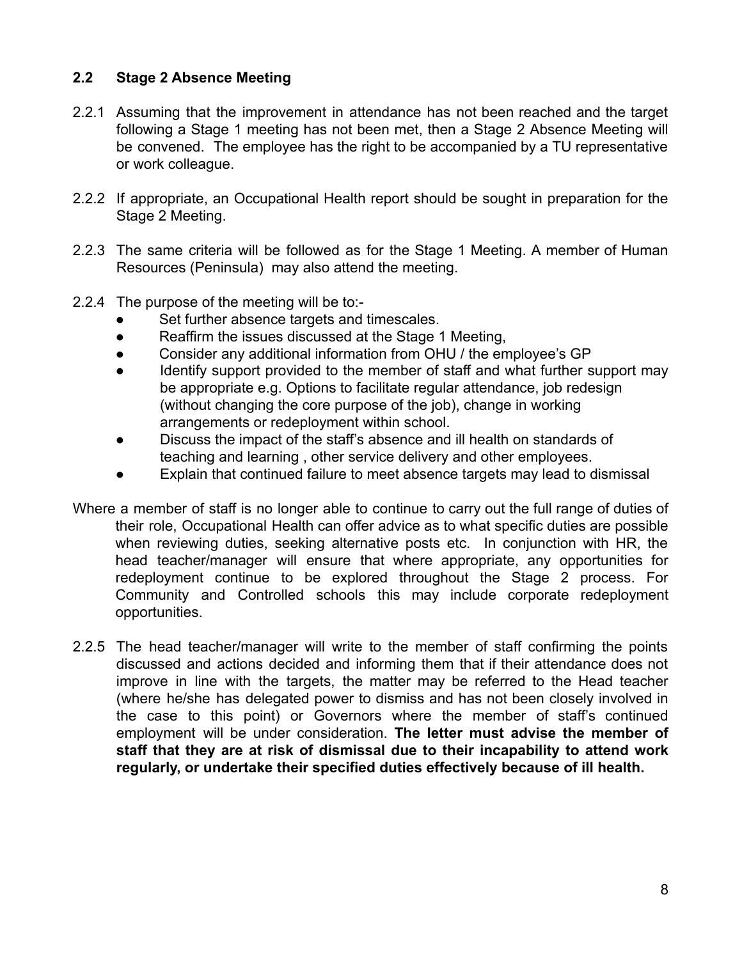## **2.2 Stage 2 Absence Meeting**

- 2.2.1 Assuming that the improvement in attendance has not been reached and the target following a Stage 1 meeting has not been met, then a Stage 2 Absence Meeting will be convened. The employee has the right to be accompanied by a TU representative or work colleague.
- 2.2.2 If appropriate, an Occupational Health report should be sought in preparation for the Stage 2 Meeting.
- 2.2.3 The same criteria will be followed as for the Stage 1 Meeting. A member of Human Resources (Peninsula) may also attend the meeting.
- 2.2.4 The purpose of the meeting will be to:-
	- Set further absence targets and timescales.
	- Reaffirm the issues discussed at the Stage 1 Meeting,
	- Consider any additional information from OHU / the employee's GP
	- Identify support provided to the member of staff and what further support may be appropriate e.g. Options to facilitate regular attendance, job redesign (without changing the core purpose of the job), change in working arrangements or redeployment within school.
	- Discuss the impact of the staff's absence and ill health on standards of teaching and learning , other service delivery and other employees.
	- Explain that continued failure to meet absence targets may lead to dismissal
- Where a member of staff is no longer able to continue to carry out the full range of duties of their role, Occupational Health can offer advice as to what specific duties are possible when reviewing duties, seeking alternative posts etc. In conjunction with HR, the head teacher/manager will ensure that where appropriate, any opportunities for redeployment continue to be explored throughout the Stage 2 process. For Community and Controlled schools this may include corporate redeployment opportunities.
- 2.2.5 The head teacher/manager will write to the member of staff confirming the points discussed and actions decided and informing them that if their attendance does not improve in line with the targets, the matter may be referred to the Head teacher (where he/she has delegated power to dismiss and has not been closely involved in the case to this point) or Governors where the member of staff's continued employment will be under consideration. **The letter must advise the member of staff that they are at risk of dismissal due to their incapability to attend work regularly, or undertake their specified duties effectively because of ill health.**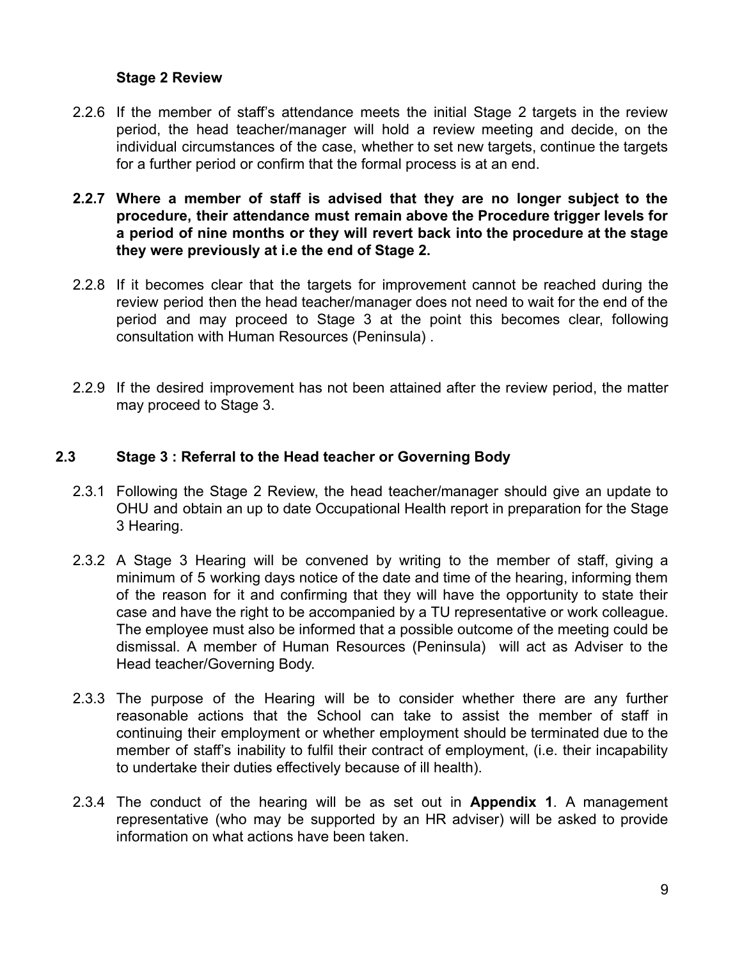#### **Stage 2 Review**

- 2.2.6 If the member of staff's attendance meets the initial Stage 2 targets in the review period, the head teacher/manager will hold a review meeting and decide, on the individual circumstances of the case, whether to set new targets, continue the targets for a further period or confirm that the formal process is at an end.
- **2.2.7 Where a member of staff is advised that they are no longer subject to the procedure, their attendance must remain above the Procedure trigger levels for a period of nine months or they will revert back into the procedure at the stage they were previously at i.e the end of Stage 2.**
- 2.2.8 If it becomes clear that the targets for improvement cannot be reached during the review period then the head teacher/manager does not need to wait for the end of the period and may proceed to Stage 3 at the point this becomes clear, following consultation with Human Resources (Peninsula) .
- 2.2.9 If the desired improvement has not been attained after the review period, the matter may proceed to Stage 3.

#### **2.3 Stage 3 : Referral to the Head teacher or Governing Body**

- 2.3.1 Following the Stage 2 Review, the head teacher/manager should give an update to OHU and obtain an up to date Occupational Health report in preparation for the Stage 3 Hearing.
- 2.3.2 A Stage 3 Hearing will be convened by writing to the member of staff, giving a minimum of 5 working days notice of the date and time of the hearing, informing them of the reason for it and confirming that they will have the opportunity to state their case and have the right to be accompanied by a TU representative or work colleague. The employee must also be informed that a possible outcome of the meeting could be dismissal. A member of Human Resources (Peninsula) will act as Adviser to the Head teacher/Governing Body.
- 2.3.3 The purpose of the Hearing will be to consider whether there are any further reasonable actions that the School can take to assist the member of staff in continuing their employment or whether employment should be terminated due to the member of staff's inability to fulfil their contract of employment, (i.e. their incapability to undertake their duties effectively because of ill health).
- 2.3.4 The conduct of the hearing will be as set out in **Appendix 1**. A management representative (who may be supported by an HR adviser) will be asked to provide information on what actions have been taken.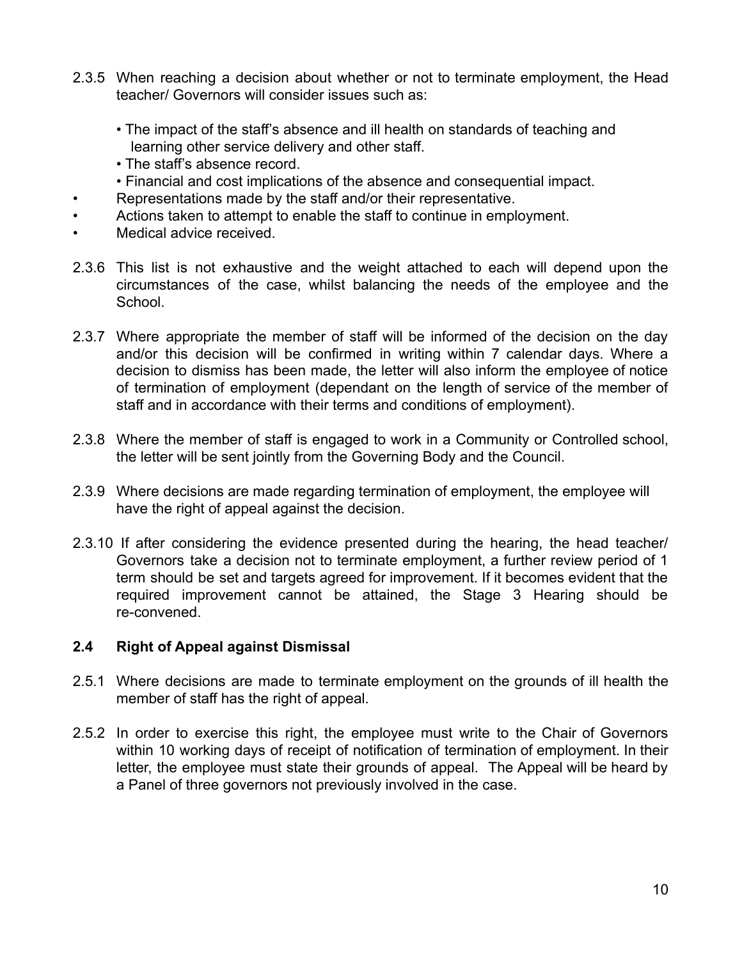- 2.3.5 When reaching a decision about whether or not to terminate employment, the Head teacher/ Governors will consider issues such as:
	- The impact of the staff's absence and ill health on standards of teaching and learning other service delivery and other staff.
	- The staff's absence record.
	- Financial and cost implications of the absence and consequential impact.
- Representations made by the staff and/or their representative.
- Actions taken to attempt to enable the staff to continue in employment.
- Medical advice received.
- 2.3.6 This list is not exhaustive and the weight attached to each will depend upon the circumstances of the case, whilst balancing the needs of the employee and the School.
- 2.3.7 Where appropriate the member of staff will be informed of the decision on the day and/or this decision will be confirmed in writing within 7 calendar days. Where a decision to dismiss has been made, the letter will also inform the employee of notice of termination of employment (dependant on the length of service of the member of staff and in accordance with their terms and conditions of employment).
- 2.3.8 Where the member of staff is engaged to work in a Community or Controlled school, the letter will be sent jointly from the Governing Body and the Council.
- 2.3.9 Where decisions are made regarding termination of employment, the employee will have the right of appeal against the decision.
- 2.3.10 If after considering the evidence presented during the hearing, the head teacher/ Governors take a decision not to terminate employment, a further review period of 1 term should be set and targets agreed for improvement. If it becomes evident that the required improvement cannot be attained, the Stage 3 Hearing should be re-convened.

## **2.4 Right of Appeal against Dismissal**

- 2.5.1 Where decisions are made to terminate employment on the grounds of ill health the member of staff has the right of appeal.
- 2.5.2 In order to exercise this right, the employee must write to the Chair of Governors within 10 working days of receipt of notification of termination of employment. In their letter, the employee must state their grounds of appeal. The Appeal will be heard by a Panel of three governors not previously involved in the case.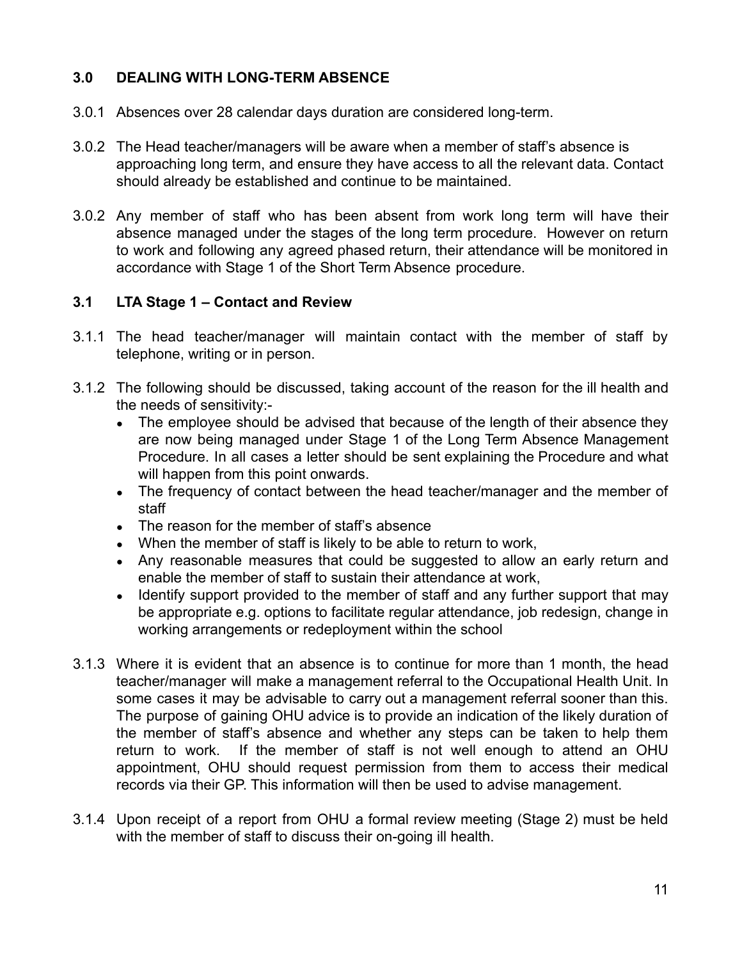## **3.0 DEALING WITH LONG-TERM ABSENCE**

- 3.0.1 Absences over 28 calendar days duration are considered long-term.
- 3.0.2 The Head teacher/managers will be aware when a member of staff's absence is approaching long term, and ensure they have access to all the relevant data. Contact should already be established and continue to be maintained.
- 3.0.2 Any member of staff who has been absent from work long term will have their absence managed under the stages of the long term procedure. However on return to work and following any agreed phased return, their attendance will be monitored in accordance with Stage 1 of the Short Term Absence procedure.

#### **3.1 LTA Stage 1 – Contact and Review**

- 3.1.1 The head teacher/manager will maintain contact with the member of staff by telephone, writing or in person.
- 3.1.2 The following should be discussed, taking account of the reason for the ill health and the needs of sensitivity:-
	- The employee should be advised that because of the length of their absence they are now being managed under Stage 1 of the Long Term Absence Management Procedure. In all cases a letter should be sent explaining the Procedure and what will happen from this point onwards.
	- The frequency of contact between the head teacher/manager and the member of staff
	- The reason for the member of staff's absence
	- When the member of staff is likely to be able to return to work,
	- Any reasonable measures that could be suggested to allow an early return and enable the member of staff to sustain their attendance at work,
	- Identify support provided to the member of staff and any further support that may be appropriate e.g. options to facilitate regular attendance, job redesign, change in working arrangements or redeployment within the school
- 3.1.3 Where it is evident that an absence is to continue for more than 1 month, the head teacher/manager will make a management referral to the Occupational Health Unit. In some cases it may be advisable to carry out a management referral sooner than this. The purpose of gaining OHU advice is to provide an indication of the likely duration of the member of staff's absence and whether any steps can be taken to help them return to work. If the member of staff is not well enough to attend an OHU appointment, OHU should request permission from them to access their medical records via their GP. This information will then be used to advise management.
- 3.1.4 Upon receipt of a report from OHU a formal review meeting (Stage 2) must be held with the member of staff to discuss their on-going ill health.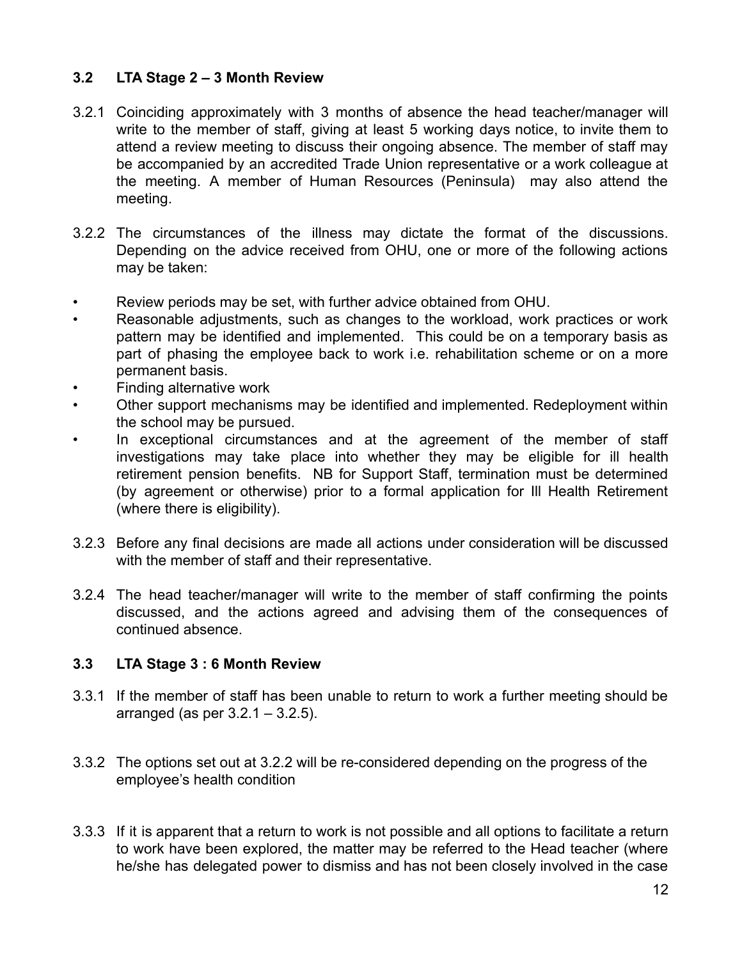## **3.2 LTA Stage 2 – 3 Month Review**

- 3.2.1 Coinciding approximately with 3 months of absence the head teacher/manager will write to the member of staff, giving at least 5 working days notice, to invite them to attend a review meeting to discuss their ongoing absence. The member of staff may be accompanied by an accredited Trade Union representative or a work colleague at the meeting. A member of Human Resources (Peninsula) may also attend the meeting.
- 3.2.2 The circumstances of the illness may dictate the format of the discussions. Depending on the advice received from OHU, one or more of the following actions may be taken:
- Review periods may be set, with further advice obtained from OHU.
- Reasonable adjustments, such as changes to the workload, work practices or work pattern may be identified and implemented. This could be on a temporary basis as part of phasing the employee back to work i.e. rehabilitation scheme or on a more permanent basis.
- Finding alternative work
- Other support mechanisms may be identified and implemented. Redeployment within the school may be pursued.
- In exceptional circumstances and at the agreement of the member of staff investigations may take place into whether they may be eligible for ill health retirement pension benefits. NB for Support Staff, termination must be determined (by agreement or otherwise) prior to a formal application for Ill Health Retirement (where there is eligibility).
- 3.2.3 Before any final decisions are made all actions under consideration will be discussed with the member of staff and their representative.
- 3.2.4 The head teacher/manager will write to the member of staff confirming the points discussed, and the actions agreed and advising them of the consequences of continued absence.

## **3.3 LTA Stage 3 : 6 Month Review**

- 3.3.1 If the member of staff has been unable to return to work a further meeting should be arranged (as per  $3.2.1 - 3.2.5$ ).
- 3.3.2 The options set out at 3.2.2 will be re-considered depending on the progress of the employee's health condition
- 3.3.3 If it is apparent that a return to work is not possible and all options to facilitate a return to work have been explored, the matter may be referred to the Head teacher (where he/she has delegated power to dismiss and has not been closely involved in the case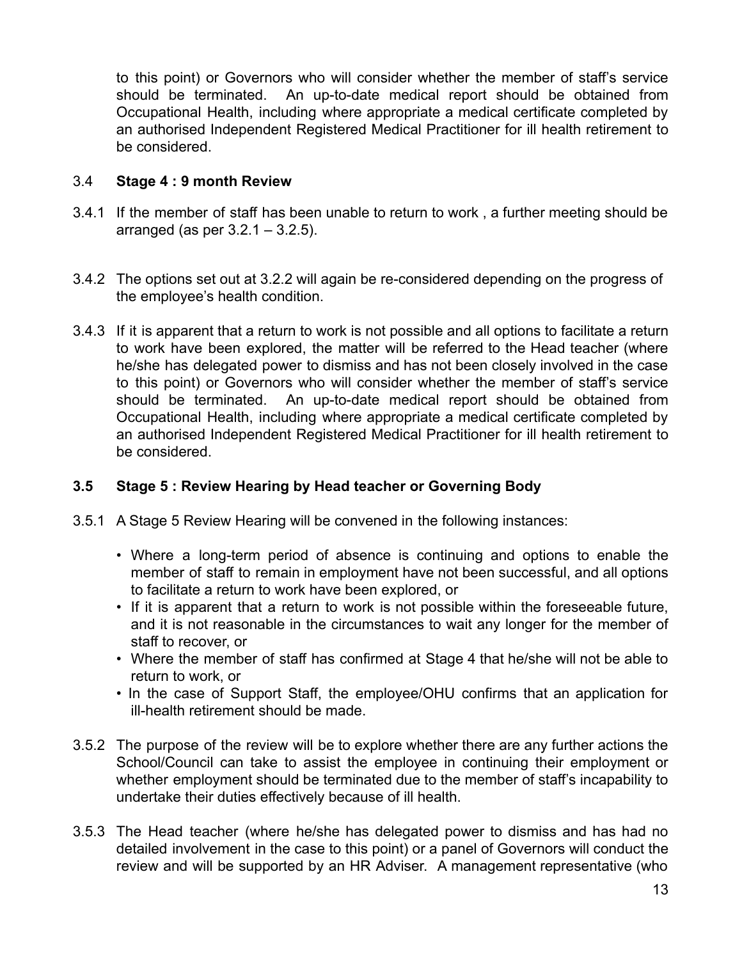to this point) or Governors who will consider whether the member of staff's service should be terminated. An up-to-date medical report should be obtained from Occupational Health, including where appropriate a medical certificate completed by an authorised Independent Registered Medical Practitioner for ill health retirement to be considered.

#### 3.4 **Stage 4 : 9 month Review**

- 3.4.1 If the member of staff has been unable to return to work , a further meeting should be arranged (as per  $3.2.1 - 3.2.5$ ).
- 3.4.2 The options set out at 3.2.2 will again be re-considered depending on the progress of the employee's health condition.
- 3.4.3 If it is apparent that a return to work is not possible and all options to facilitate a return to work have been explored, the matter will be referred to the Head teacher (where he/she has delegated power to dismiss and has not been closely involved in the case to this point) or Governors who will consider whether the member of staff's service should be terminated. An up-to-date medical report should be obtained from Occupational Health, including where appropriate a medical certificate completed by an authorised Independent Registered Medical Practitioner for ill health retirement to be considered.

## **3.5 Stage 5 : Review Hearing by Head teacher or Governing Body**

- 3.5.1 A Stage 5 Review Hearing will be convened in the following instances:
	- Where a long-term period of absence is continuing and options to enable the member of staff to remain in employment have not been successful, and all options to facilitate a return to work have been explored, or
	- If it is apparent that a return to work is not possible within the foreseeable future, and it is not reasonable in the circumstances to wait any longer for the member of staff to recover, or
	- Where the member of staff has confirmed at Stage 4 that he/she will not be able to return to work, or
	- In the case of Support Staff, the employee/OHU confirms that an application for ill-health retirement should be made.
- 3.5.2 The purpose of the review will be to explore whether there are any further actions the School/Council can take to assist the employee in continuing their employment or whether employment should be terminated due to the member of staff's incapability to undertake their duties effectively because of ill health.
- 3.5.3 The Head teacher (where he/she has delegated power to dismiss and has had no detailed involvement in the case to this point) or a panel of Governors will conduct the review and will be supported by an HR Adviser. A management representative (who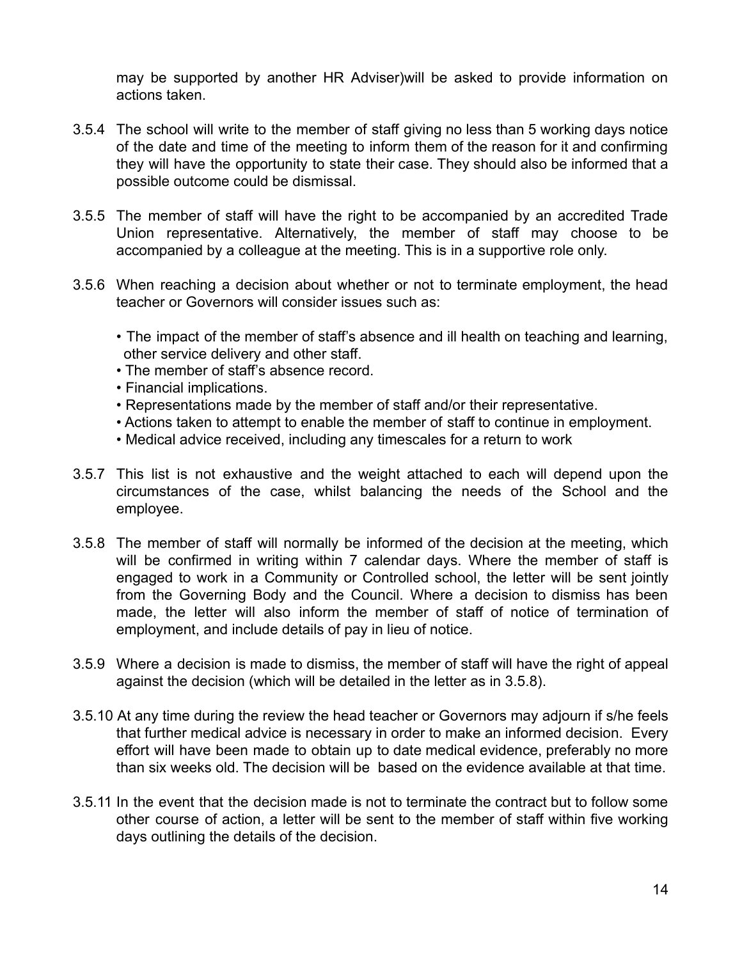may be supported by another HR Adviser)will be asked to provide information on actions taken.

- 3.5.4 The school will write to the member of staff giving no less than 5 working days notice of the date and time of the meeting to inform them of the reason for it and confirming they will have the opportunity to state their case. They should also be informed that a possible outcome could be dismissal.
- 3.5.5 The member of staff will have the right to be accompanied by an accredited Trade Union representative. Alternatively, the member of staff may choose to be accompanied by a colleague at the meeting. This is in a supportive role only.
- 3.5.6 When reaching a decision about whether or not to terminate employment, the head teacher or Governors will consider issues such as:
	- The impact of the member of staff's absence and ill health on teaching and learning, other service delivery and other staff.
	- The member of staff's absence record.
	- Financial implications.
	- Representations made by the member of staff and/or their representative.
	- Actions taken to attempt to enable the member of staff to continue in employment.
	- Medical advice received, including any timescales for a return to work
- 3.5.7 This list is not exhaustive and the weight attached to each will depend upon the circumstances of the case, whilst balancing the needs of the School and the employee.
- 3.5.8 The member of staff will normally be informed of the decision at the meeting, which will be confirmed in writing within 7 calendar days. Where the member of staff is engaged to work in a Community or Controlled school, the letter will be sent jointly from the Governing Body and the Council. Where a decision to dismiss has been made, the letter will also inform the member of staff of notice of termination of employment, and include details of pay in lieu of notice.
- 3.5.9 Where a decision is made to dismiss, the member of staff will have the right of appeal against the decision (which will be detailed in the letter as in 3.5.8).
- 3.5.10 At any time during the review the head teacher or Governors may adjourn if s/he feels that further medical advice is necessary in order to make an informed decision. Every effort will have been made to obtain up to date medical evidence, preferably no more than six weeks old. The decision will be based on the evidence available at that time.
- 3.5.11 In the event that the decision made is not to terminate the contract but to follow some other course of action, a letter will be sent to the member of staff within five working days outlining the details of the decision.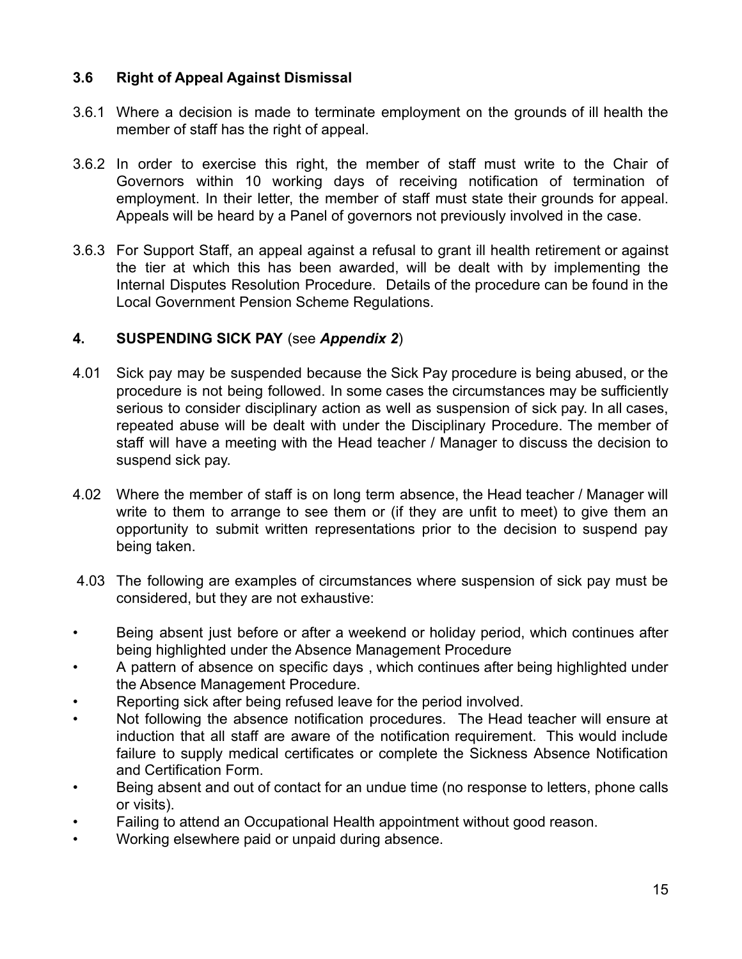#### **3.6 Right of Appeal Against Dismissal**

- 3.6.1 Where a decision is made to terminate employment on the grounds of ill health the member of staff has the right of appeal.
- 3.6.2 In order to exercise this right, the member of staff must write to the Chair of Governors within 10 working days of receiving notification of termination of employment. In their letter, the member of staff must state their grounds for appeal. Appeals will be heard by a Panel of governors not previously involved in the case.
- 3.6.3 For Support Staff, an appeal against a refusal to grant ill health retirement or against the tier at which this has been awarded, will be dealt with by implementing the Internal Disputes Resolution Procedure. Details of the procedure can be found in the Local Government Pension Scheme Regulations.

#### **4. SUSPENDING SICK PAY** (see *Appendix 2*)

- 4.01 Sick pay may be suspended because the Sick Pay procedure is being abused, or the procedure is not being followed. In some cases the circumstances may be sufficiently serious to consider disciplinary action as well as suspension of sick pay. In all cases, repeated abuse will be dealt with under the Disciplinary Procedure. The member of staff will have a meeting with the Head teacher / Manager to discuss the decision to suspend sick pay.
- 4.02 Where the member of staff is on long term absence, the Head teacher / Manager will write to them to arrange to see them or (if they are unfit to meet) to give them an opportunity to submit written representations prior to the decision to suspend pay being taken.
- 4.03 The following are examples of circumstances where suspension of sick pay must be considered, but they are not exhaustive:
- Being absent just before or after a weekend or holiday period, which continues after being highlighted under the Absence Management Procedure
- A pattern of absence on specific days , which continues after being highlighted under the Absence Management Procedure.
- Reporting sick after being refused leave for the period involved.
- Not following the absence notification procedures. The Head teacher will ensure at induction that all staff are aware of the notification requirement. This would include failure to supply medical certificates or complete the Sickness Absence Notification and Certification Form.
- Being absent and out of contact for an undue time (no response to letters, phone calls or visits).
- Failing to attend an Occupational Health appointment without good reason.
- Working elsewhere paid or unpaid during absence.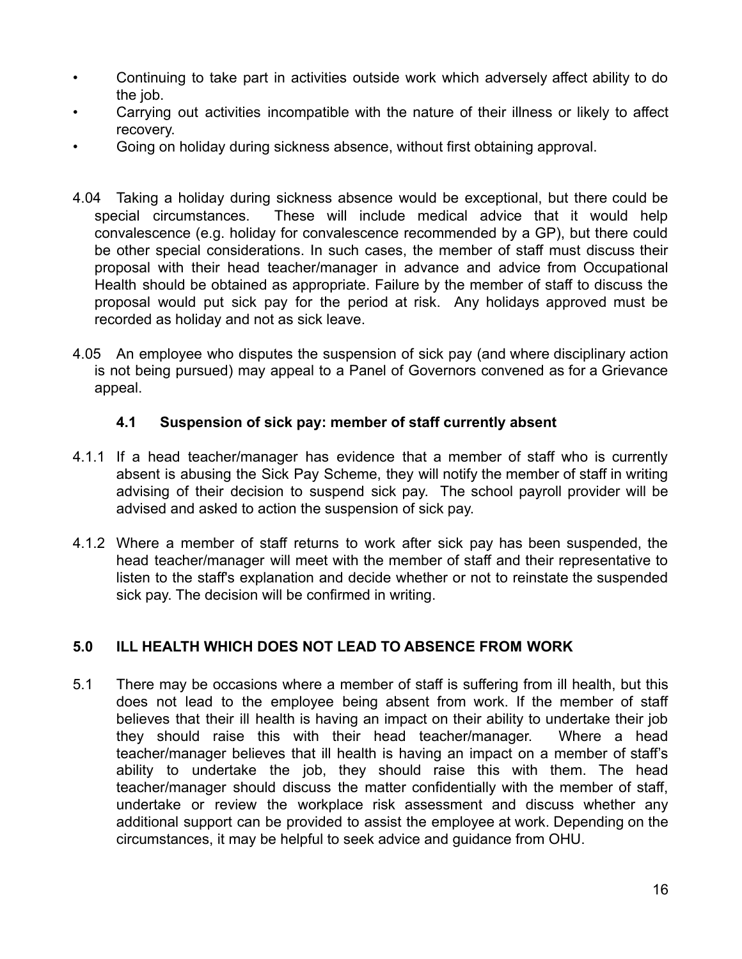- Continuing to take part in activities outside work which adversely affect ability to do the job.
- Carrying out activities incompatible with the nature of their illness or likely to affect recovery.
- Going on holiday during sickness absence, without first obtaining approval.
- 4.04 Taking a holiday during sickness absence would be exceptional, but there could be special circumstances. These will include medical advice that it would help convalescence (e.g. holiday for convalescence recommended by a GP), but there could be other special considerations. In such cases, the member of staff must discuss their proposal with their head teacher/manager in advance and advice from Occupational Health should be obtained as appropriate. Failure by the member of staff to discuss the proposal would put sick pay for the period at risk. Any holidays approved must be recorded as holiday and not as sick leave.
- 4.05 An employee who disputes the suspension of sick pay (and where disciplinary action is not being pursued) may appeal to a Panel of Governors convened as for a Grievance appeal.

#### **4.1 Suspension of sick pay: member of staff currently absent**

- 4.1.1 If a head teacher/manager has evidence that a member of staff who is currently absent is abusing the Sick Pay Scheme, they will notify the member of staff in writing advising of their decision to suspend sick pay. The school payroll provider will be advised and asked to action the suspension of sick pay.
- 4.1.2 Where a member of staff returns to work after sick pay has been suspended, the head teacher/manager will meet with the member of staff and their representative to listen to the staff's explanation and decide whether or not to reinstate the suspended sick pay. The decision will be confirmed in writing.

## **5.0 ILL HEALTH WHICH DOES NOT LEAD TO ABSENCE FROM WORK**

5.1 There may be occasions where a member of staff is suffering from ill health, but this does not lead to the employee being absent from work. If the member of staff believes that their ill health is having an impact on their ability to undertake their job they should raise this with their head teacher/manager. Where a head teacher/manager believes that ill health is having an impact on a member of staff's ability to undertake the job, they should raise this with them. The head teacher/manager should discuss the matter confidentially with the member of staff, undertake or review the workplace risk assessment and discuss whether any additional support can be provided to assist the employee at work. Depending on the circumstances, it may be helpful to seek advice and guidance from OHU.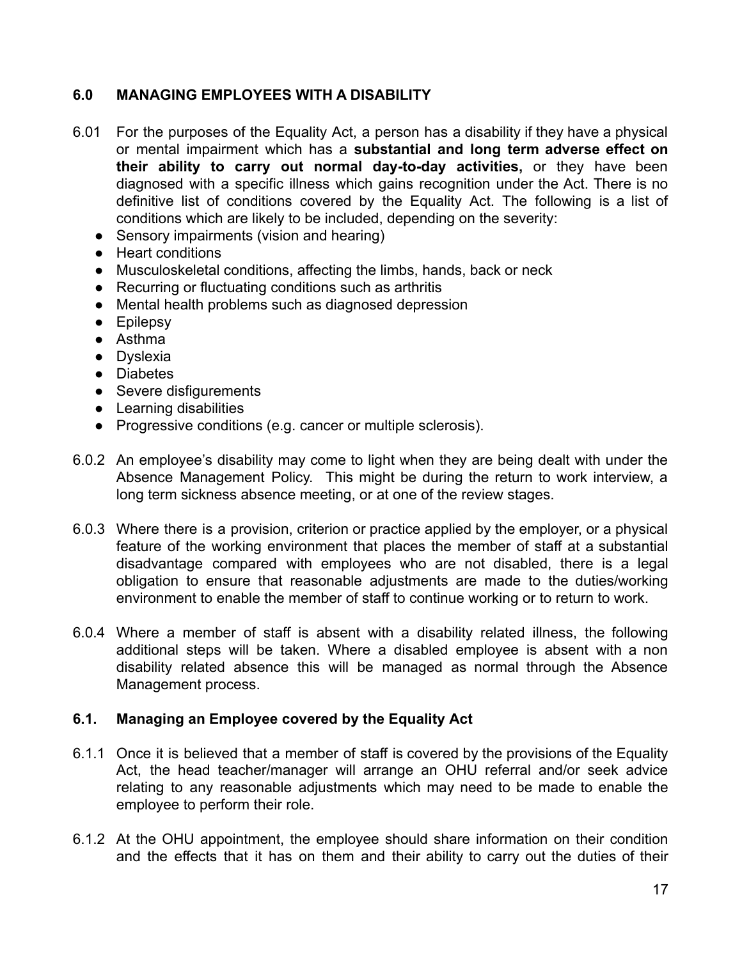## **6.0 MANAGING EMPLOYEES WITH A DISABILITY**

- 6.01 For the purposes of the Equality Act, a person has a disability if they have a physical or mental impairment which has a **substantial and long term adverse effect on their ability to carry out normal day-to-day activities,** or they have been diagnosed with a specific illness which gains recognition under the Act. There is no definitive list of conditions covered by the Equality Act. The following is a list of conditions which are likely to be included, depending on the severity:
	- Sensory impairments (vision and hearing)
	- Heart conditions
	- Musculoskeletal conditions, affecting the limbs, hands, back or neck
	- Recurring or fluctuating conditions such as arthritis
	- Mental health problems such as diagnosed depression
	- Epilepsy
	- Asthma
	- Dyslexia
	- Diabetes
	- Severe disfigurements
	- Learning disabilities
	- Progressive conditions (e.g. cancer or multiple sclerosis).
- 6.0.2 An employee's disability may come to light when they are being dealt with under the Absence Management Policy. This might be during the return to work interview, a long term sickness absence meeting, or at one of the review stages.
- 6.0.3 Where there is a provision, criterion or practice applied by the employer, or a physical feature of the working environment that places the member of staff at a substantial disadvantage compared with employees who are not disabled, there is a legal obligation to ensure that reasonable adjustments are made to the duties/working environment to enable the member of staff to continue working or to return to work.
- 6.0.4 Where a member of staff is absent with a disability related illness, the following additional steps will be taken. Where a disabled employee is absent with a non disability related absence this will be managed as normal through the Absence Management process.

#### **6.1. Managing an Employee covered by the Equality Act**

- 6.1.1 Once it is believed that a member of staff is covered by the provisions of the Equality Act, the head teacher/manager will arrange an OHU referral and/or seek advice relating to any reasonable adjustments which may need to be made to enable the employee to perform their role.
- 6.1.2 At the OHU appointment, the employee should share information on their condition and the effects that it has on them and their ability to carry out the duties of their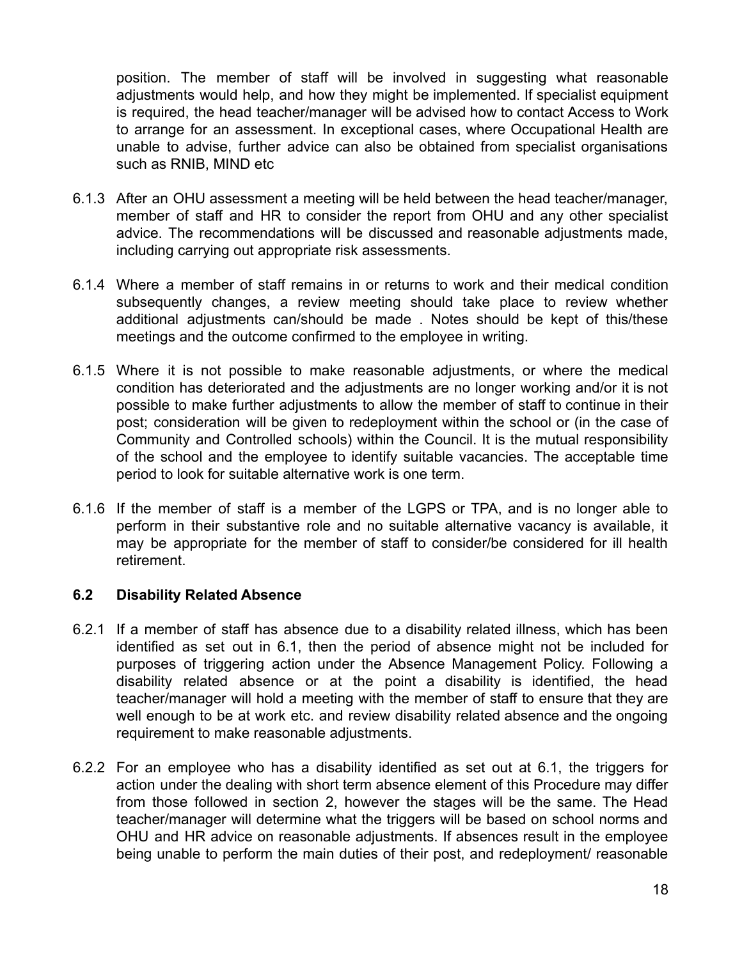position. The member of staff will be involved in suggesting what reasonable adjustments would help, and how they might be implemented. If specialist equipment is required, the head teacher/manager will be advised how to contact Access to Work to arrange for an assessment. In exceptional cases, where Occupational Health are unable to advise, further advice can also be obtained from specialist organisations such as RNIB, MIND etc

- 6.1.3 After an OHU assessment a meeting will be held between the head teacher/manager, member of staff and HR to consider the report from OHU and any other specialist advice. The recommendations will be discussed and reasonable adjustments made, including carrying out appropriate risk assessments.
- 6.1.4 Where a member of staff remains in or returns to work and their medical condition subsequently changes, a review meeting should take place to review whether additional adjustments can/should be made . Notes should be kept of this/these meetings and the outcome confirmed to the employee in writing.
- 6.1.5 Where it is not possible to make reasonable adjustments, or where the medical condition has deteriorated and the adjustments are no longer working and/or it is not possible to make further adjustments to allow the member of staff to continue in their post; consideration will be given to redeployment within the school or (in the case of Community and Controlled schools) within the Council. It is the mutual responsibility of the school and the employee to identify suitable vacancies. The acceptable time period to look for suitable alternative work is one term.
- 6.1.6 If the member of staff is a member of the LGPS or TPA, and is no longer able to perform in their substantive role and no suitable alternative vacancy is available, it may be appropriate for the member of staff to consider/be considered for ill health retirement.

#### **6.2 Disability Related Absence**

- 6.2.1 If a member of staff has absence due to a disability related illness, which has been identified as set out in 6.1, then the period of absence might not be included for purposes of triggering action under the Absence Management Policy. Following a disability related absence or at the point a disability is identified, the head teacher/manager will hold a meeting with the member of staff to ensure that they are well enough to be at work etc. and review disability related absence and the ongoing requirement to make reasonable adjustments.
- 6.2.2 For an employee who has a disability identified as set out at 6.1, the triggers for action under the dealing with short term absence element of this Procedure may differ from those followed in section 2, however the stages will be the same. The Head teacher/manager will determine what the triggers will be based on school norms and OHU and HR advice on reasonable adjustments. If absences result in the employee being unable to perform the main duties of their post, and redeployment/ reasonable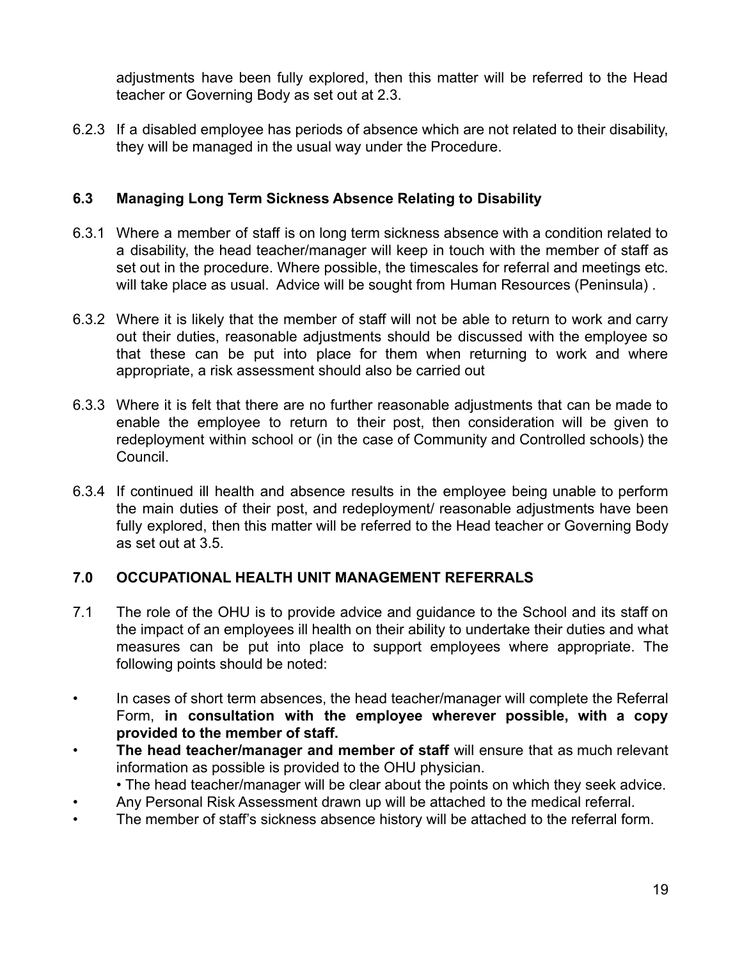adjustments have been fully explored, then this matter will be referred to the Head teacher or Governing Body as set out at 2.3.

6.2.3 If a disabled employee has periods of absence which are not related to their disability, they will be managed in the usual way under the Procedure.

## **6.3 Managing Long Term Sickness Absence Relating to Disability**

- 6.3.1 Where a member of staff is on long term sickness absence with a condition related to a disability, the head teacher/manager will keep in touch with the member of staff as set out in the procedure. Where possible, the timescales for referral and meetings etc. will take place as usual. Advice will be sought from Human Resources (Peninsula) .
- 6.3.2 Where it is likely that the member of staff will not be able to return to work and carry out their duties, reasonable adjustments should be discussed with the employee so that these can be put into place for them when returning to work and where appropriate, a risk assessment should also be carried out
- 6.3.3 Where it is felt that there are no further reasonable adjustments that can be made to enable the employee to return to their post, then consideration will be given to redeployment within school or (in the case of Community and Controlled schools) the Council.
- 6.3.4 If continued ill health and absence results in the employee being unable to perform the main duties of their post, and redeployment/ reasonable adjustments have been fully explored, then this matter will be referred to the Head teacher or Governing Body as set out at 3.5.

## **7.0 OCCUPATIONAL HEALTH UNIT MANAGEMENT REFERRALS**

- 7.1 The role of the OHU is to provide advice and guidance to the School and its staff on the impact of an employees ill health on their ability to undertake their duties and what measures can be put into place to support employees where appropriate. The following points should be noted:
- In cases of short term absences, the head teacher/manager will complete the Referral Form, **in consultation with the employee wherever possible, with a copy provided to the member of staff.**
- **The head teacher/manager and member of staff** will ensure that as much relevant information as possible is provided to the OHU physician.

• The head teacher/manager will be clear about the points on which they seek advice.

- Any Personal Risk Assessment drawn up will be attached to the medical referral.
- The member of staff's sickness absence history will be attached to the referral form.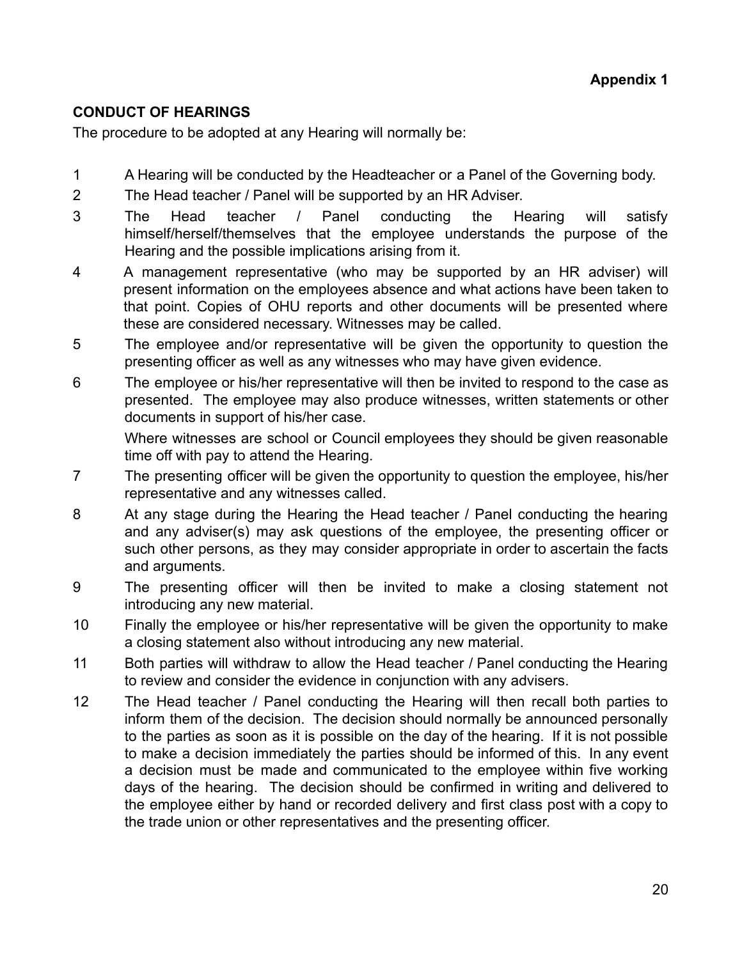## **CONDUCT OF HEARINGS**

The procedure to be adopted at any Hearing will normally be:

- 1 A Hearing will be conducted by the Headteacher or a Panel of the Governing body.
- 2 The Head teacher / Panel will be supported by an HR Adviser.
- 3 The Head teacher / Panel conducting the Hearing will satisfy himself/herself/themselves that the employee understands the purpose of the Hearing and the possible implications arising from it.
- 4 A management representative (who may be supported by an HR adviser) will present information on the employees absence and what actions have been taken to that point. Copies of OHU reports and other documents will be presented where these are considered necessary. Witnesses may be called.
- 5 The employee and/or representative will be given the opportunity to question the presenting officer as well as any witnesses who may have given evidence.
- 6 The employee or his/her representative will then be invited to respond to the case as presented. The employee may also produce witnesses, written statements or other documents in support of his/her case.

Where witnesses are school or Council employees they should be given reasonable time off with pay to attend the Hearing.

- 7 The presenting officer will be given the opportunity to question the employee, his/her representative and any witnesses called.
- 8 At any stage during the Hearing the Head teacher / Panel conducting the hearing and any adviser(s) may ask questions of the employee, the presenting officer or such other persons, as they may consider appropriate in order to ascertain the facts and arguments.
- 9 The presenting officer will then be invited to make a closing statement not introducing any new material.
- 10 Finally the employee or his/her representative will be given the opportunity to make a closing statement also without introducing any new material.
- 11 Both parties will withdraw to allow the Head teacher / Panel conducting the Hearing to review and consider the evidence in conjunction with any advisers.
- 12 The Head teacher / Panel conducting the Hearing will then recall both parties to inform them of the decision. The decision should normally be announced personally to the parties as soon as it is possible on the day of the hearing. If it is not possible to make a decision immediately the parties should be informed of this. In any event a decision must be made and communicated to the employee within five working days of the hearing. The decision should be confirmed in writing and delivered to the employee either by hand or recorded delivery and first class post with a copy to the trade union or other representatives and the presenting officer.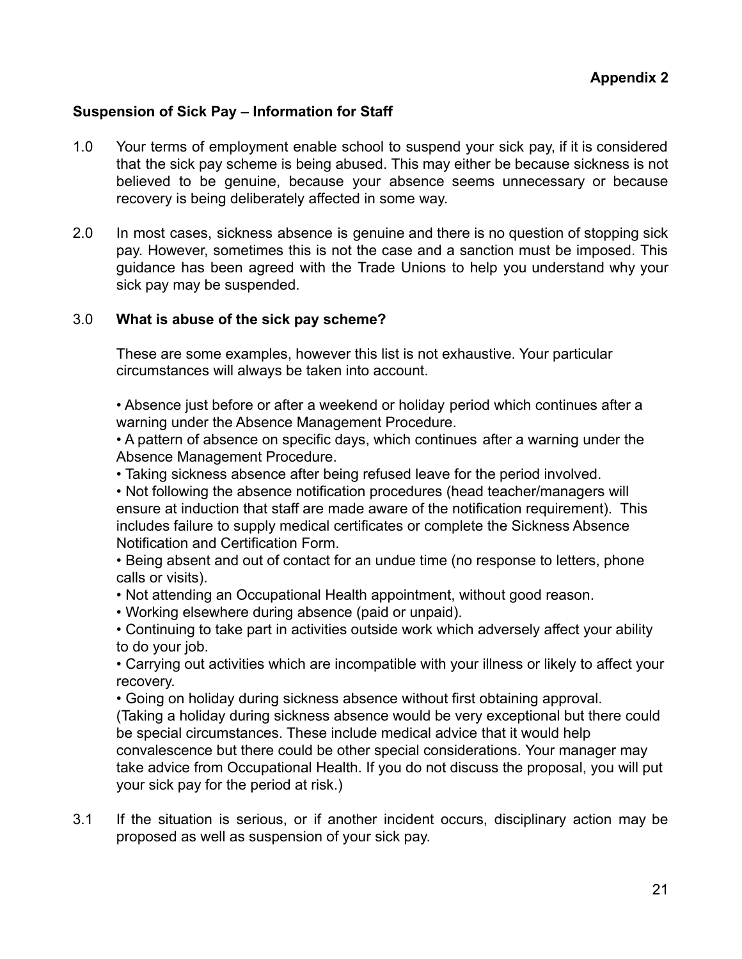#### **Suspension of Sick Pay – Information for Staff**

- 1.0 Your terms of employment enable school to suspend your sick pay, if it is considered that the sick pay scheme is being abused. This may either be because sickness is not believed to be genuine, because your absence seems unnecessary or because recovery is being deliberately affected in some way.
- 2.0 In most cases, sickness absence is genuine and there is no question of stopping sick pay. However, sometimes this is not the case and a sanction must be imposed. This guidance has been agreed with the Trade Unions to help you understand why your sick pay may be suspended.

#### 3.0 **What is abuse of the sick pay scheme?**

These are some examples, however this list is not exhaustive. Your particular circumstances will always be taken into account.

• Absence just before or after a weekend or holiday period which continues after a warning under the Absence Management Procedure.

• A pattern of absence on specific days, which continues after a warning under the Absence Management Procedure.

• Taking sickness absence after being refused leave for the period involved.

• Not following the absence notification procedures (head teacher/managers will ensure at induction that staff are made aware of the notification requirement). This includes failure to supply medical certificates or complete the Sickness Absence Notification and Certification Form.

• Being absent and out of contact for an undue time (no response to letters, phone calls or visits).

• Not attending an Occupational Health appointment, without good reason.

• Working elsewhere during absence (paid or unpaid).

• Continuing to take part in activities outside work which adversely affect your ability to do your job.

• Carrying out activities which are incompatible with your illness or likely to affect your recovery.

• Going on holiday during sickness absence without first obtaining approval. (Taking a holiday during sickness absence would be very exceptional but there could be special circumstances. These include medical advice that it would help convalescence but there could be other special considerations. Your manager may take advice from Occupational Health. If you do not discuss the proposal, you will put your sick pay for the period at risk.)

3.1 If the situation is serious, or if another incident occurs, disciplinary action may be proposed as well as suspension of your sick pay.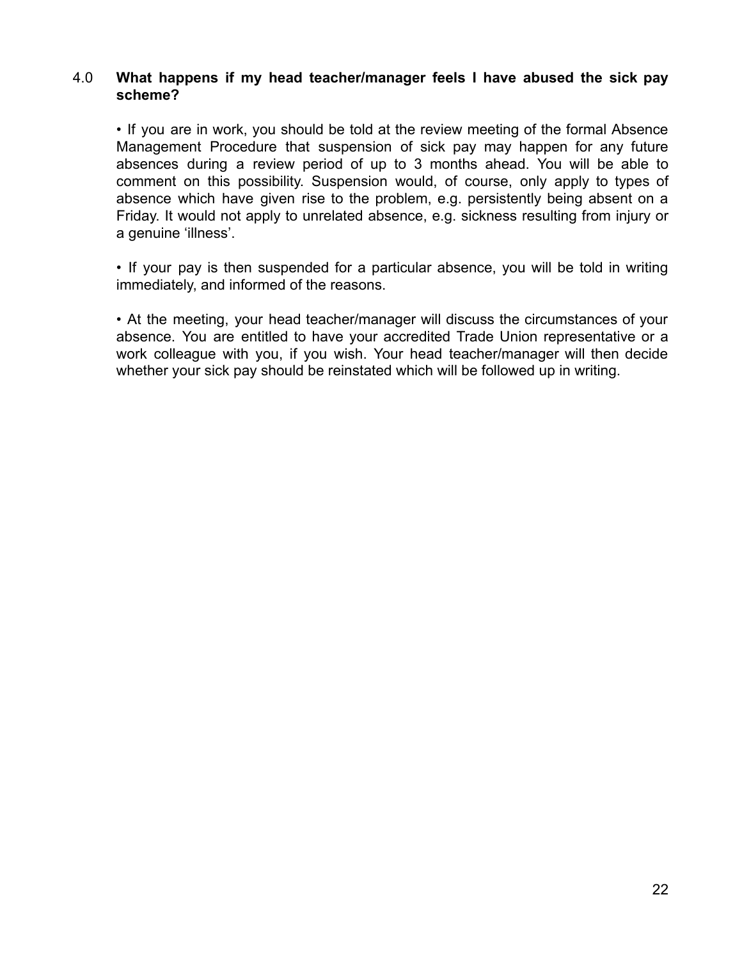#### 4.0 **What happens if my head teacher/manager feels I have abused the sick pay scheme?**

• If you are in work, you should be told at the review meeting of the formal Absence Management Procedure that suspension of sick pay may happen for any future absences during a review period of up to 3 months ahead. You will be able to comment on this possibility. Suspension would, of course, only apply to types of absence which have given rise to the problem, e.g. persistently being absent on a Friday. It would not apply to unrelated absence, e.g. sickness resulting from injury or a genuine 'illness'.

• If your pay is then suspended for a particular absence, you will be told in writing immediately, and informed of the reasons.

• At the meeting, your head teacher/manager will discuss the circumstances of your absence. You are entitled to have your accredited Trade Union representative or a work colleague with you, if you wish. Your head teacher/manager will then decide whether your sick pay should be reinstated which will be followed up in writing.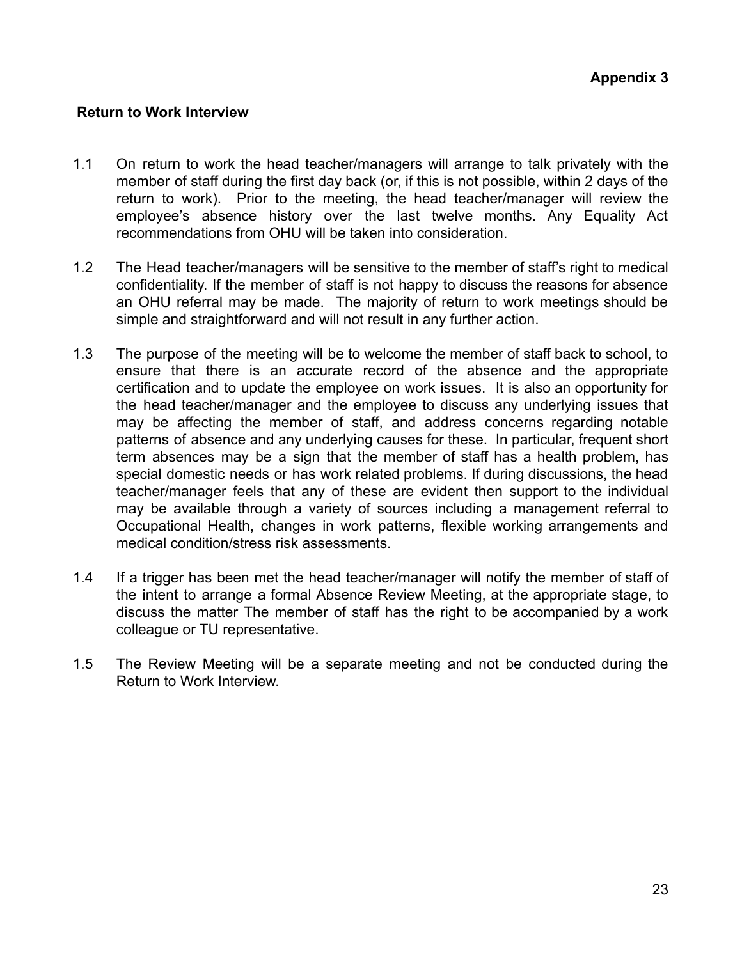#### **Return to Work Interview**

- 1.1 On return to work the head teacher/managers will arrange to talk privately with the member of staff during the first day back (or, if this is not possible, within 2 days of the return to work). Prior to the meeting, the head teacher/manager will review the employee's absence history over the last twelve months. Any Equality Act recommendations from OHU will be taken into consideration.
- 1.2 The Head teacher/managers will be sensitive to the member of staff's right to medical confidentiality. If the member of staff is not happy to discuss the reasons for absence an OHU referral may be made. The majority of return to work meetings should be simple and straightforward and will not result in any further action.
- 1.3 The purpose of the meeting will be to welcome the member of staff back to school, to ensure that there is an accurate record of the absence and the appropriate certification and to update the employee on work issues. It is also an opportunity for the head teacher/manager and the employee to discuss any underlying issues that may be affecting the member of staff, and address concerns regarding notable patterns of absence and any underlying causes for these. In particular, frequent short term absences may be a sign that the member of staff has a health problem, has special domestic needs or has work related problems. If during discussions, the head teacher/manager feels that any of these are evident then support to the individual may be available through a variety of sources including a management referral to Occupational Health, changes in work patterns, flexible working arrangements and medical condition/stress risk assessments.
- 1.4 If a trigger has been met the head teacher/manager will notify the member of staff of the intent to arrange a formal Absence Review Meeting, at the appropriate stage, to discuss the matter The member of staff has the right to be accompanied by a work colleague or TU representative.
- 1.5 The Review Meeting will be a separate meeting and not be conducted during the Return to Work Interview.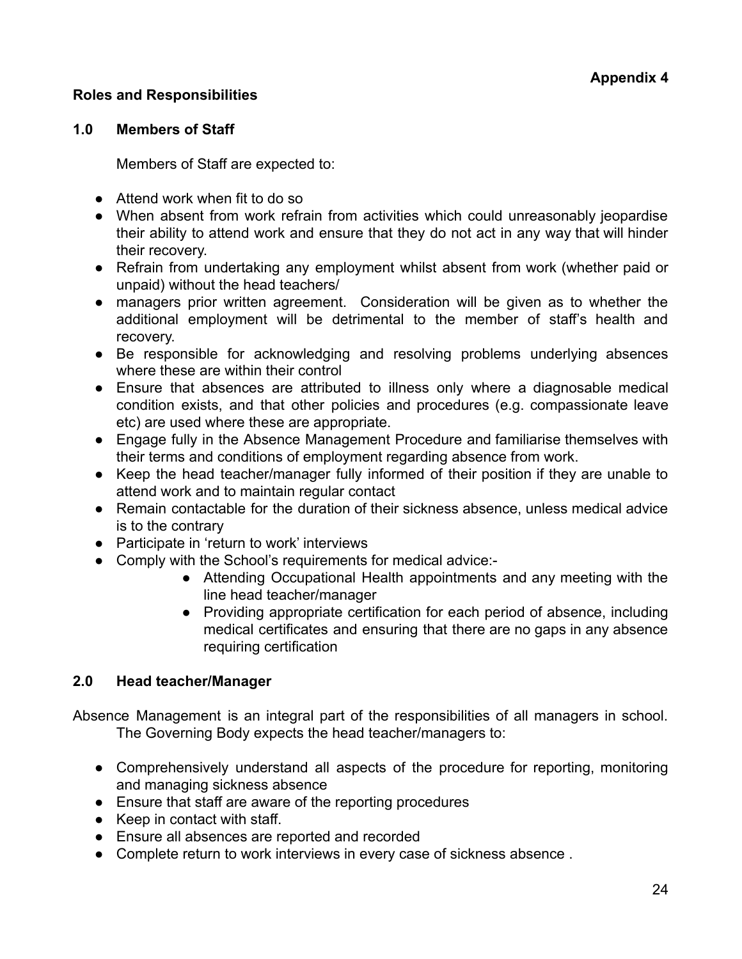## **Roles and Responsibilities**

#### **1.0 Members of Staff**

Members of Staff are expected to:

- Attend work when fit to do so
- When absent from work refrain from activities which could unreasonably jeopardise their ability to attend work and ensure that they do not act in any way that will hinder their recovery.
- Refrain from undertaking any employment whilst absent from work (whether paid or unpaid) without the head teachers/
- managers prior written agreement. Consideration will be given as to whether the additional employment will be detrimental to the member of staff's health and recovery.
- Be responsible for acknowledging and resolving problems underlying absences where these are within their control
- Ensure that absences are attributed to illness only where a diagnosable medical condition exists, and that other policies and procedures (e.g. compassionate leave etc) are used where these are appropriate.
- Engage fully in the Absence Management Procedure and familiarise themselves with their terms and conditions of employment regarding absence from work.
- Keep the head teacher/manager fully informed of their position if they are unable to attend work and to maintain regular contact
- Remain contactable for the duration of their sickness absence, unless medical advice is to the contrary
- Participate in 'return to work' interviews
- Comply with the School's requirements for medical advice:-
	- Attending Occupational Health appointments and any meeting with the line head teacher/manager
	- Providing appropriate certification for each period of absence, including medical certificates and ensuring that there are no gaps in any absence requiring certification

## **2.0 Head teacher/Manager**

Absence Management is an integral part of the responsibilities of all managers in school. The Governing Body expects the head teacher/managers to:

- Comprehensively understand all aspects of the procedure for reporting, monitoring and managing sickness absence
- Ensure that staff are aware of the reporting procedures
- Keep in contact with staff.
- Ensure all absences are reported and recorded
- Complete return to work interviews in every case of sickness absence.